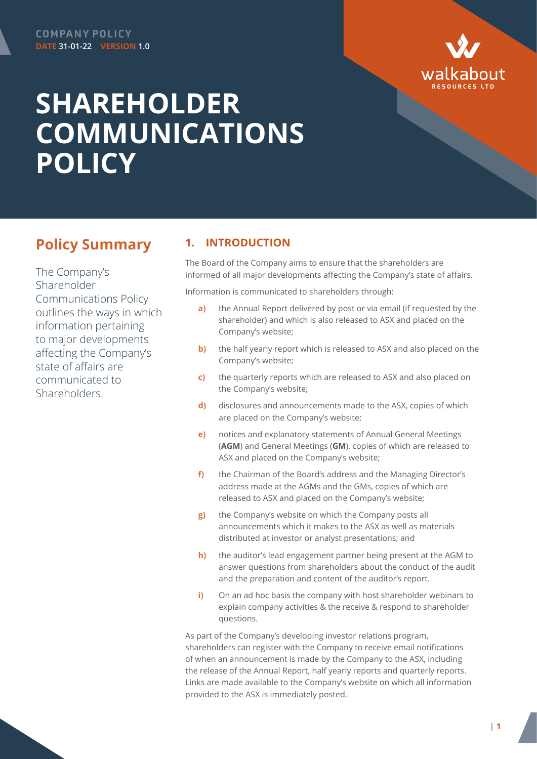

## **SHAREHOLDER COMMUNICATIONS POLICY**

## **Policy Summary**

The Company's Shareholder Communications Policy outlines the ways in which information pertaining to major developments affecting the Company's state of affairs are communicated to **Shareholders** 

## **1. INTRODUCTION**

The Board of the Company aims to ensure that the shareholders are informed of all major developments affecting the Company's state of affairs.

Information is communicated to shareholders through:

- **a)** the Annual Report delivered by post or via email (if requested by the shareholder) and which is also released to ASX and placed on the Company's website;
- **b)** the half yearly report which is released to ASX and also placed on the Company's website;
- **c)** the quarterly reports which are released to ASX and also placed on the Company's website;
- **d)** disclosures and announcements made to the ASX, copies of which are placed on the Company's website;
- **e)** notices and explanatory statements of Annual General Meetings (**AGM**) and General Meetings (**GM**), copies of which are released to ASX and placed on the Company's website;
- **f)** the Chairman of the Board's address and the Managing Director's address made at the AGMs and the GMs, copies of which are released to ASX and placed on the Company's website;
- **g)** the Company's website on which the Company posts all announcements which it makes to the ASX as well as materials distributed at investor or analyst presentations; and
- **h)** the auditor's lead engagement partner being present at the AGM to answer questions from shareholders about the conduct of the audit and the preparation and content of the auditor's report.
- **i)** On an ad hoc basis the company with host shareholder webinars to explain company activities & the receive & respond to shareholder questions.

As part of the Company's developing investor relations program, shareholders can register with the Company to receive email notifications of when an announcement is made by the Company to the ASX, including the release of the Annual Report, half yearly reports and quarterly reports. Links are made available to the Company's website on which all information provided to the ASX is immediately posted.